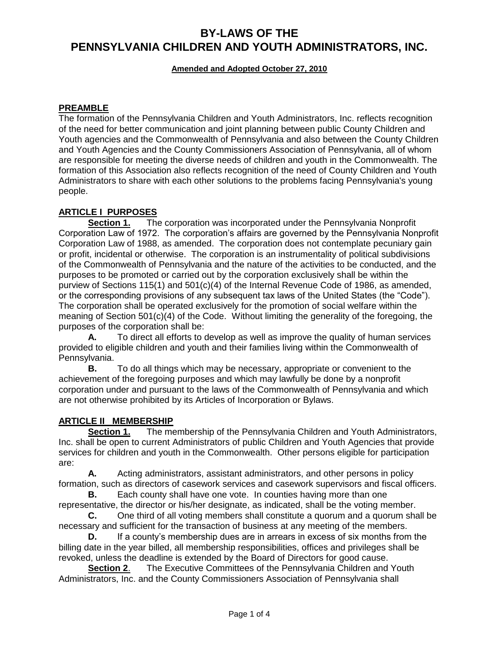**Amended and Adopted October 27, 2010**

## **PREAMBLE**

The formation of the Pennsylvania Children and Youth Administrators, Inc. reflects recognition of the need for better communication and joint planning between public County Children and Youth agencies and the Commonwealth of Pennsylvania and also between the County Children and Youth Agencies and the County Commissioners Association of Pennsylvania, all of whom are responsible for meeting the diverse needs of children and youth in the Commonwealth. The formation of this Association also reflects recognition of the need of County Children and Youth Administrators to share with each other solutions to the problems facing Pennsylvania's young people.

# **ARTICLE I PURPOSES**

**Section 1.** The corporation was incorporated under the Pennsylvania Nonprofit Corporation Law of 1972. The corporation's affairs are governed by the Pennsylvania Nonprofit Corporation Law of 1988, as amended. The corporation does not contemplate pecuniary gain or profit, incidental or otherwise. The corporation is an instrumentality of political subdivisions of the Commonwealth of Pennsylvania and the nature of the activities to be conducted, and the purposes to be promoted or carried out by the corporation exclusively shall be within the purview of Sections 115(1) and 501(c)(4) of the Internal Revenue Code of 1986, as amended, or the corresponding provisions of any subsequent tax laws of the United States (the "Code"). The corporation shall be operated exclusively for the promotion of social welfare within the meaning of Section 501(c)(4) of the Code. Without limiting the generality of the foregoing, the purposes of the corporation shall be:

**A.** To direct all efforts to develop as well as improve the quality of human services provided to eligible children and youth and their families living within the Commonwealth of Pennsylvania.

**B.** To do all things which may be necessary, appropriate or convenient to the achievement of the foregoing purposes and which may lawfully be done by a nonprofit corporation under and pursuant to the laws of the Commonwealth of Pennsylvania and which are not otherwise prohibited by its Articles of Incorporation or Bylaws.

# **ARTICLE II MEMBERSHIP**

**Section 1.** The membership of the Pennsylvania Children and Youth Administrators, Inc. shall be open to current Administrators of public Children and Youth Agencies that provide services for children and youth in the Commonwealth. Other persons eligible for participation are:

**A.** Acting administrators, assistant administrators, and other persons in policy formation, such as directors of casework services and casework supervisors and fiscal officers.

**B.** Each county shall have one vote. In counties having more than one representative, the director or his/her designate, as indicated, shall be the voting member.

**C.** One third of all voting members shall constitute a quorum and a quorum shall be necessary and sufficient for the transaction of business at any meeting of the members.

**D.** If a county's membership dues are in arrears in excess of six months from the billing date in the year billed, all membership responsibilities, offices and privileges shall be revoked, unless the deadline is extended by the Board of Directors for good cause.

**Section 2**. The Executive Committees of the Pennsylvania Children and Youth Administrators, Inc. and the County Commissioners Association of Pennsylvania shall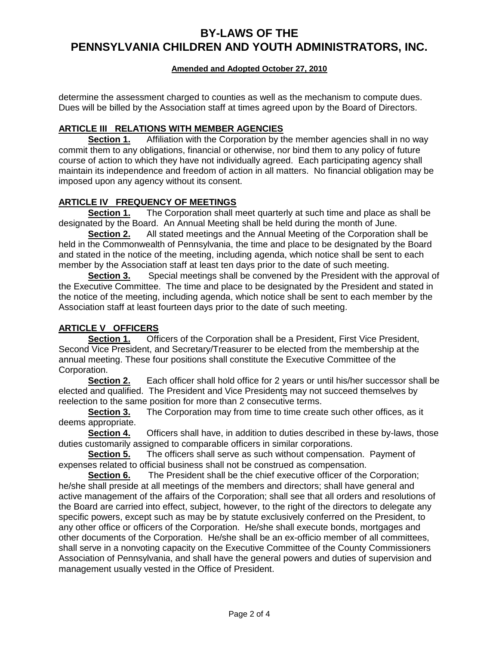### **Amended and Adopted October 27, 2010**

determine the assessment charged to counties as well as the mechanism to compute dues. Dues will be billed by the Association staff at times agreed upon by the Board of Directors.

### **ARTICLE III RELATIONS WITH MEMBER AGENCIES**

**Section 1.** Affiliation with the Corporation by the member agencies shall in no way commit them to any obligations, financial or otherwise, nor bind them to any policy of future course of action to which they have not individually agreed. Each participating agency shall maintain its independence and freedom of action in all matters. No financial obligation may be imposed upon any agency without its consent.

#### **ARTICLE IV FREQUENCY OF MEETINGS**

**Section 1.** The Corporation shall meet quarterly at such time and place as shall be designated by the Board. An Annual Meeting shall be held during the month of June.

**Section 2.** All stated meetings and the Annual Meeting of the Corporation shall be held in the Commonwealth of Pennsylvania, the time and place to be designated by the Board and stated in the notice of the meeting, including agenda, which notice shall be sent to each member by the Association staff at least ten days prior to the date of such meeting.

**Section 3.** Special meetings shall be convened by the President with the approval of the Executive Committee. The time and place to be designated by the President and stated in the notice of the meeting, including agenda, which notice shall be sent to each member by the Association staff at least fourteen days prior to the date of such meeting.

### **ARTICLE V OFFICERS**

**Section 1.** Officers of the Corporation shall be a President, First Vice President, Second Vice President, and Secretary/Treasurer to be elected from the membership at the annual meeting. These four positions shall constitute the Executive Committee of the Corporation.

**Section 2.** Each officer shall hold office for 2 years or until his/her successor shall be elected and qualified. The President and Vice Presidents may not succeed themselves by reelection to the same position for more than 2 consecutive terms.

**Section 3.** The Corporation may from time to time create such other offices, as it deems appropriate.

**Section 4.** Officers shall have, in addition to duties described in these by-laws, those duties customarily assigned to comparable officers in similar corporations.

**Section 5.** The officers shall serve as such without compensation. Payment of expenses related to official business shall not be construed as compensation.

**Section 6.** The President shall be the chief executive officer of the Corporation; he/she shall preside at all meetings of the members and directors; shall have general and active management of the affairs of the Corporation; shall see that all orders and resolutions of the Board are carried into effect, subject, however, to the right of the directors to delegate any specific powers, except such as may be by statute exclusively conferred on the President, to any other office or officers of the Corporation. He/she shall execute bonds, mortgages and other documents of the Corporation. He/she shall be an ex-officio member of all committees, shall serve in a nonvoting capacity on the Executive Committee of the County Commissioners Association of Pennsylvania, and shall have the general powers and duties of supervision and management usually vested in the Office of President.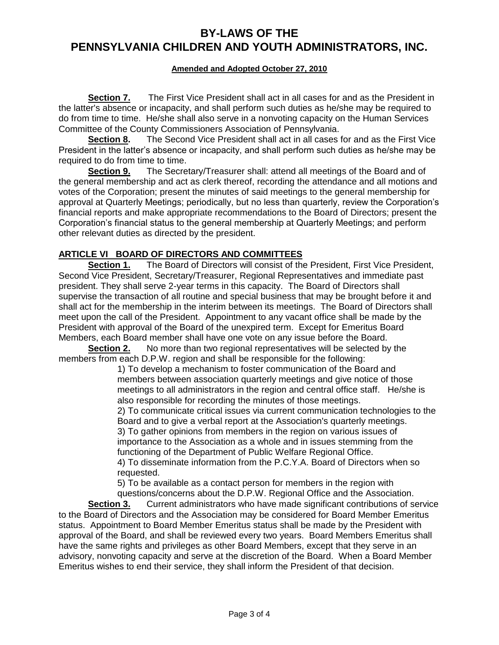#### **Amended and Adopted October 27, 2010**

**Section 7.** The First Vice President shall act in all cases for and as the President in the latter's absence or incapacity, and shall perform such duties as he/she may be required to do from time to time. He/she shall also serve in a nonvoting capacity on the Human Services Committee of the County Commissioners Association of Pennsylvania.

**Section 8.** The Second Vice President shall act in all cases for and as the First Vice President in the latter's absence or incapacity, and shall perform such duties as he/she may be required to do from time to time.

**Section 9.** The Secretary/Treasurer shall: attend all meetings of the Board and of the general membership and act as clerk thereof, recording the attendance and all motions and votes of the Corporation; present the minutes of said meetings to the general membership for approval at Quarterly Meetings; periodically, but no less than quarterly, review the Corporation's financial reports and make appropriate recommendations to the Board of Directors; present the Corporation's financial status to the general membership at Quarterly Meetings; and perform other relevant duties as directed by the president.

### **ARTICLE VI BOARD OF DIRECTORS AND COMMITTEES**

**Section 1.** The Board of Directors will consist of the President, First Vice President, Second Vice President, Secretary/Treasurer, Regional Representatives and immediate past president. They shall serve 2-year terms in this capacity. The Board of Directors shall supervise the transaction of all routine and special business that may be brought before it and shall act for the membership in the interim between its meetings. The Board of Directors shall meet upon the call of the President. Appointment to any vacant office shall be made by the President with approval of the Board of the unexpired term. Except for Emeritus Board Members, each Board member shall have one vote on any issue before the Board.

**Section 2.** No more than two regional representatives will be selected by the members from each D.P.W. region and shall be responsible for the following:

> 1) To develop a mechanism to foster communication of the Board and members between association quarterly meetings and give notice of those meetings to all administrators in the region and central office staff. He/she is also responsible for recording the minutes of those meetings.

2) To communicate critical issues via current communication technologies to the Board and to give a verbal report at the Association's quarterly meetings. 3) To gather opinions from members in the region on various issues of importance to the Association as a whole and in issues stemming from the functioning of the Department of Public Welfare Regional Office.

4) To disseminate information from the P.C.Y.A. Board of Directors when so requested.

5) To be available as a contact person for members in the region with questions/concerns about the D.P.W. Regional Office and the Association.

**Section 3.** Current administrators who have made significant contributions of service to the Board of Directors and the Association may be considered for Board Member Emeritus status. Appointment to Board Member Emeritus status shall be made by the President with approval of the Board, and shall be reviewed every two years. Board Members Emeritus shall have the same rights and privileges as other Board Members, except that they serve in an advisory, nonvoting capacity and serve at the discretion of the Board. When a Board Member Emeritus wishes to end their service, they shall inform the President of that decision.